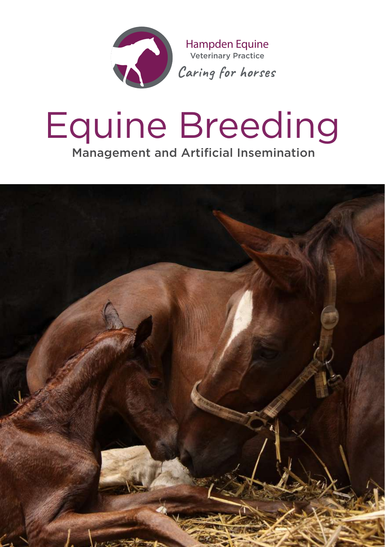

# Equine Breeding

Management and Artificial Insemination

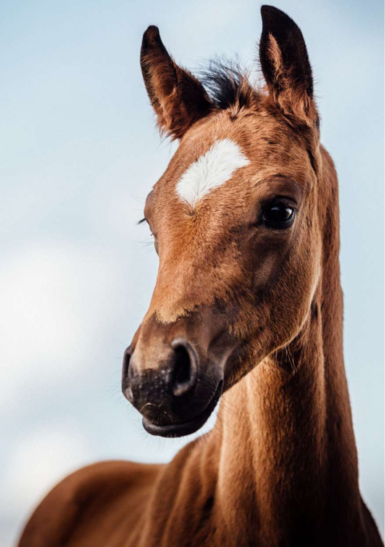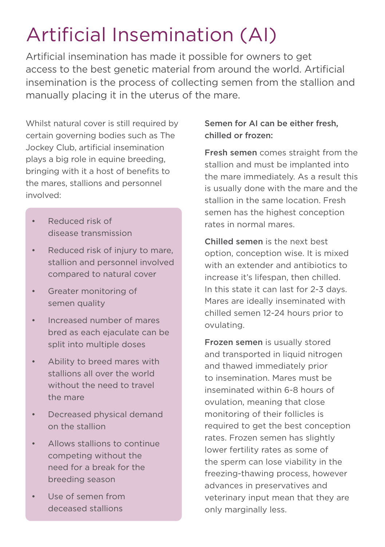# Artificial Insemination (AI)

Artificial insemination has made it possible for owners to get access to the best genetic material from around the world. Artificial insemination is the process of collecting semen from the stallion and manually placing it in the uterus of the mare.

Whilst natural cover is still required by certain governing bodies such as The Jockey Club, artificial insemination plays a big role in equine breeding, bringing with it a host of benefits to the mares, stallions and personnel involved:

- Reduced risk of disease transmission
- Reduced risk of injury to mare, stallion and personnel involved compared to natural cover
- Greater monitoring of semen quality
- Increased number of mares bred as each ejaculate can be split into multiple doses
- Ability to breed mares with stallions all over the world without the need to travel the mare
- Decreased physical demand on the stallion
- Allows stallions to continue competing without the need for a break for the breeding season
- Use of semen from deceased stallions

#### Semen for AI can be either fresh, chilled or frozen:

Fresh semen comes straight from the stallion and must be implanted into the mare immediately. As a result this is usually done with the mare and the stallion in the same location. Fresh semen has the highest conception rates in normal mares.

Chilled semen is the next best option, conception wise. It is mixed with an extender and antibiotics to increase it's lifespan, then chilled. In this state it can last for 2-3 days. Mares are ideally inseminated with chilled semen 12-24 hours prior to ovulating.

Frozen semen is usually stored and transported in liquid nitrogen and thawed immediately prior to insemination. Mares must be inseminated within 6-8 hours of ovulation, meaning that close monitoring of their follicles is required to get the best conception rates. Frozen semen has slightly lower fertility rates as some of the sperm can lose viability in the freezing-thawing process, however advances in preservatives and veterinary input mean that they are only marginally less.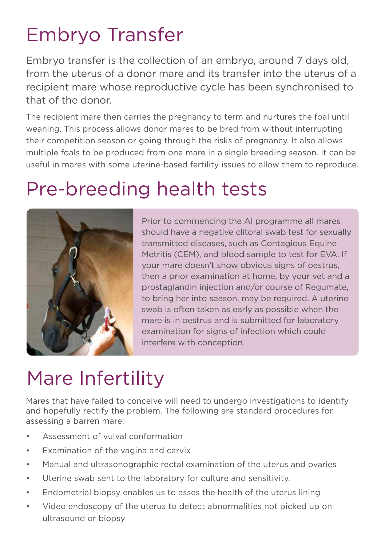# Embryo Transfer

Embryo transfer is the collection of an embryo, around 7 days old, from the uterus of a donor mare and its transfer into the uterus of a recipient mare whose reproductive cycle has been synchronised to that of the donor.

The recipient mare then carries the pregnancy to term and nurtures the foal until weaning. This process allows donor mares to be bred from without interrupting their competition season or going through the risks of pregnancy. It also allows multiple foals to be produced from one mare in a single breeding season. It can be useful in mares with some uterine-based fertility issues to allow them to reproduce.

### Pre-breeding health tests



Prior to commencing the AI programme all mares should have a negative clitoral swab test for sexually transmitted diseases, such as Contagious Equine Metritis (CEM), and blood sample to test for EVA. If your mare doesn't show obvious signs of oestrus, then a prior examination at home, by your vet and a prostaglandin injection and/or course of Regumate, to bring her into season, may be required. A uterine swab is often taken as early as possible when the mare is in oestrus and is submitted for laboratory examination for signs of infection which could interfere with conception.

# Mare Infertility

Mares that have failed to conceive will need to undergo investigations to identify and hopefully rectify the problem. The following are standard procedures for assessing a barren mare:

- Assessment of vulval conformation
- Examination of the vagina and cervix
- Manual and ultrasonographic rectal examination of the uterus and ovaries
- Uterine swab sent to the laboratory for culture and sensitivity.
- Endometrial biopsy enables us to asses the health of the uterus lining
- Video endoscopy of the uterus to detect abnormalities not picked up on ultrasound or biopsy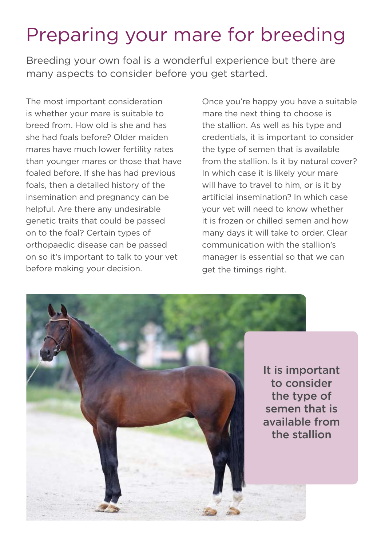# Preparing your mare for breeding

Breeding your own foal is a wonderful experience but there are many aspects to consider before you get started.

The most important consideration is whether your mare is suitable to breed from. How old is she and has she had foals before? Older maiden mares have much lower fertility rates than younger mares or those that have foaled before. If she has had previous foals, then a detailed history of the insemination and pregnancy can be helpful. Are there any undesirable genetic traits that could be passed on to the foal? Certain types of orthopaedic disease can be passed on so it's important to talk to your vet before making your decision.

Once you're happy you have a suitable mare the next thing to choose is the stallion. As well as his type and credentials, it is important to consider the type of semen that is available from the stallion. Is it by natural cover? In which case it is likely your mare will have to travel to him, or is it by artificial insemination? In which case your vet will need to know whether it is frozen or chilled semen and how many days it will take to order. Clear communication with the stallion's manager is essential so that we can get the timings right.

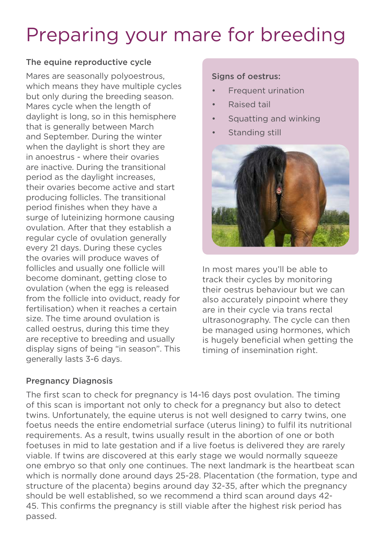# Preparing your mare for breeding

#### The equine reproductive cycle

Mares are seasonally polyoestrous, which means they have multiple cycles but only during the breeding season. Mares cycle when the length of daylight is long, so in this hemisphere that is generally between March and September. During the winter when the daylight is short they are in anoestrus - where their ovaries are inactive. During the transitional period as the daylight increases, their ovaries become active and start producing follicles. The transitional period finishes when they have a surge of luteinizing hormone causing ovulation. After that they establish a regular cycle of ovulation generally every 21 days. During these cycles the ovaries will produce waves of follicles and usually one follicle will become dominant, getting close to ovulation (when the egg is released from the follicle into oviduct, ready for fertilisation) when it reaches a certain size. The time around ovulation is called oestrus, during this time they are receptive to breeding and usually display signs of being "in season". This generally lasts 3-6 days.

#### Pregnancy Diagnosis

#### Signs of oestrus:

- Frequent urination
- Raised tail
- Squatting and winking
- Standing still



In most mares you'll be able to track their cycles by monitoring their oestrus behaviour but we can also accurately pinpoint where they are in their cycle via trans rectal ultrasonography. The cycle can then be managed using hormones, which is hugely beneficial when getting the timing of insemination right.

The first scan to check for pregnancy is 14-16 days post ovulation. The timing of this scan is important not only to check for a pregnancy but also to detect twins. Unfortunately, the equine uterus is not well designed to carry twins, one foetus needs the entire endometrial surface (uterus lining) to fulfil its nutritional requirements. As a result, twins usually result in the abortion of one or both foetuses in mid to late gestation and if a live foetus is delivered they are rarely viable. If twins are discovered at this early stage we would normally squeeze one embryo so that only one continues. The next landmark is the heartbeat scan which is normally done around days 25-28. Placentation (the formation, type and structure of the placenta) begins around day 32-35, after which the pregnancy should be well established, so we recommend a third scan around days 42- 45. This confirms the pregnancy is still viable after the highest risk period has passed.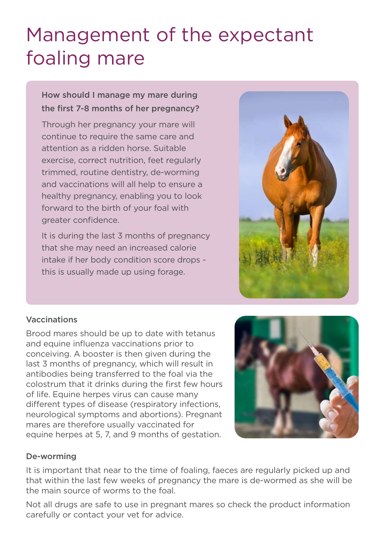#### How should I manage my mare during the first 7-8 months of her pregnancy?

Through her pregnancy your mare will continue to require the same care and attention as a ridden horse. Suitable exercise, correct nutrition, feet regularly trimmed, routine dentistry, de-worming and vaccinations will all help to ensure a healthy pregnancy, enabling you to look forward to the birth of your foal with greater confidence.

It is during the last 3 months of pregnancy that she may need an increased calorie intake if her body condition score drops this is usually made up using forage.



#### Vaccinations

Brood mares should be up to date with tetanus and equine influenza vaccinations prior to conceiving. A booster is then given during the last 3 months of pregnancy, which will result in antibodies being transferred to the foal via the colostrum that it drinks during the first few hours of life. Equine herpes virus can cause many different types of disease (respiratory infections, neurological symptoms and abortions). Pregnant mares are therefore usually vaccinated for equine herpes at 5, 7, and 9 months of gestation.



#### De-worming

It is important that near to the time of foaling, faeces are regularly picked up and that within the last few weeks of pregnancy the mare is de-wormed as she will be the main source of worms to the foal.

Not all drugs are safe to use in pregnant mares so check the product information carefully or contact your vet for advice.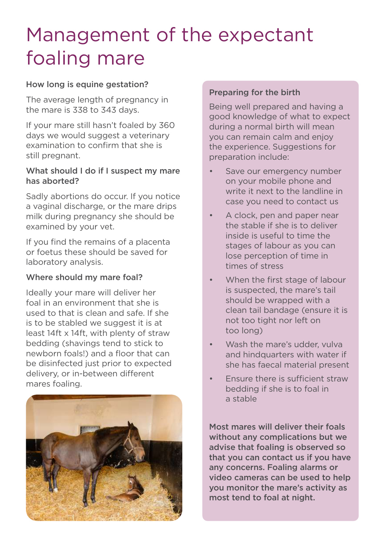#### How long is equine gestation?

The average length of pregnancy in the mare is 338 to 343 days.

If your mare still hasn't foaled by 360 days we would suggest a veterinary examination to confirm that she is still pregnant.

#### What should I do if I suspect my mare has aborted?

Sadly abortions do occur. If you notice a vaginal discharge, or the mare drips milk during pregnancy she should be examined by your vet.

If you find the remains of a placenta or foetus these should be saved for laboratory analysis.

#### Where should my mare foal?

Ideally your mare will deliver her foal in an environment that she is used to that is clean and safe. If she is to be stabled we suggest it is at least 14ft x 14ft, with plenty of straw bedding (shavings tend to stick to newborn foals!) and a floor that can be disinfected just prior to expected delivery, or in-between different mares foaling.



#### Preparing for the birth

Being well prepared and having a good knowledge of what to expect during a normal birth will mean you can remain calm and enjoy the experience. Suggestions for preparation include:

- Save our emergency number on your mobile phone and write it next to the landline in case you need to contact us
- A clock, pen and paper near the stable if she is to deliver inside is useful to time the stages of labour as you can lose perception of time in times of stress
- When the first stage of labour is suspected, the mare's tail should be wrapped with a clean tail bandage (ensure it is not too tight nor left on too long)
- Wash the mare's udder, vulval and hindquarters with water if she has faecal material present
- Ensure there is sufficient straw bedding if she is to foal in a stable

Most mares will deliver their foals without any complications but we advise that foaling is observed so that you can contact us if you have any concerns. Foaling alarms or video cameras can be used to help you monitor the mare's activity as most tend to foal at night.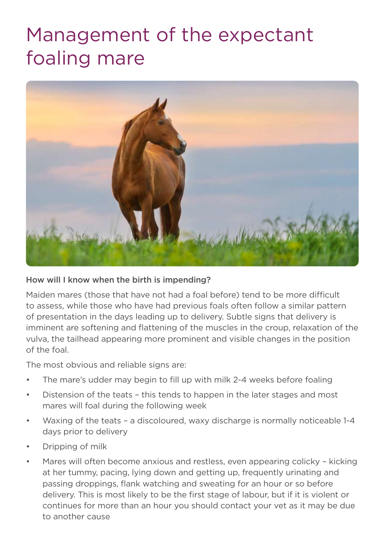

#### How will I know when the birth is impending?

Maiden mares (those that have not had a foal before) tend to be more difficult to assess, while those who have had previous foals often follow a similar pattern of presentation in the days leading up to delivery. Subtle signs that delivery is imminent are softening and flattening of the muscles in the croup, relaxation of the vulva, the tailhead appearing more prominent and visible changes in the position of the foal.

The most obvious and reliable signs are:

- The mare's udder may begin to fill up with milk 2-4 weeks before foaling
- Distension of the teats this tends to happen in the later stages and most mares will foal during the following week
- Waxing of the teats a discoloured, waxy discharge is normally noticeable 1-4 days prior to delivery
- Dripping of milk
- Mares will often become anxious and restless, even appearing colicky kicking at her tummy, pacing, lying down and getting up, frequently urinating and passing droppings, flank watching and sweating for an hour or so before delivery. This is most likely to be the first stage of labour, but if it is violent or continues for more than an hour you should contact your vet as it may be due to another cause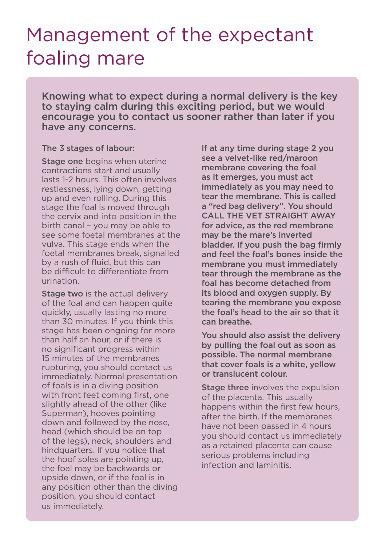Knowing what to expect during a normal delivery is the key to staying calm during this exciting period, but we would encourage you to contact us sooner rather than later if you have any concerns.

#### The 3 stages of labour:

Stage one begins when uterine contractions start and usually lasts 1-2 hours. This often involves restlessness, lying down, getting up and even rolling. During this stage the foal is moved through the cervix and into position in the birth canal – you may be able to see some foetal membranes at the vulva. This stage ends when the foetal membranes break, signalled by a rush of fluid, but this can be difficult to differentiate from urination.

Stage two is the actual delivery of the foal and can happen quite quickly, usually lasting no more than 30 minutes. If you think this stage has been ongoing for more than half an hour, or if there is no significant progress within 15 minutes of the membranes rupturing, you should contact us immediately. Normal presentation of foals is in a diving position with front feet coming first, one slightly ahead of the other (like Superman), hooves pointing down and followed by the nose, head (which should be on top of the legs), neck, shoulders and hindquarters. If you notice that the hoof soles are pointing up, the foal may be backwards or upside down, or if the foal is in any position other than the diving position, you should contact us immediately.

If at any time during stage 2 you see a velvet-like red/maroon membrane covering the foal as it emerges, you must act immediately as you may need to tear the membrane. This is called a "red bag delivery". You should CALL THE VET STRAIGHT AWAY for advice, as the red membrane may be the mare's inverted bladder. If you push the bag firmly and feel the foal's bones inside the membrane you must immediately tear through the membrane as the foal has become detached from its blood and oxygen supply. By tearing the membrane you expose the foal's head to the air so that it can breathe.

You should also assist the delivery by pulling the foal out as soon as possible. The normal membrane that cover foals is a white, yellow or translucent colour.

Stage three involves the expulsion of the placenta. This usually happens within the first few hours. after the birth. If the membranes have not been passed in 4 hours you should contact us immediately as a retained placenta can cause serious problems including infection and laminitis.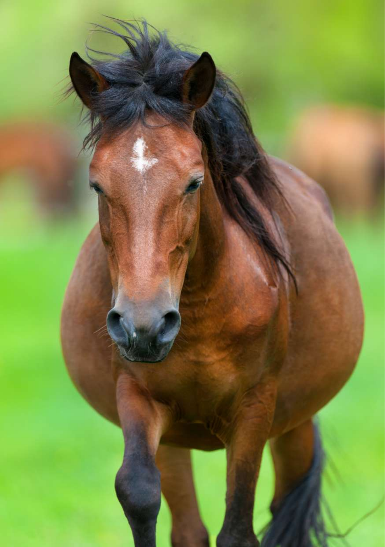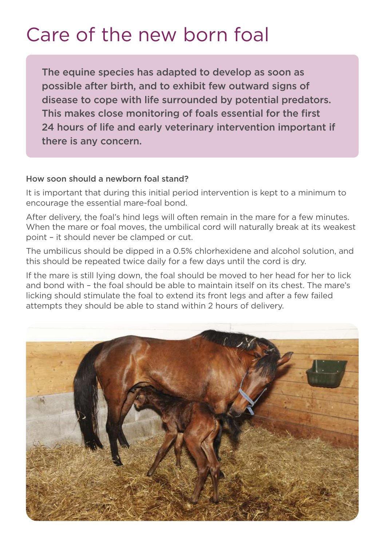### Care of the new born foal

The equine species has adapted to develop as soon as possible after birth, and to exhibit few outward signs of disease to cope with life surrounded by potential predators. This makes close monitoring of foals essential for the first 24 hours of life and early veterinary intervention important if there is any concern.

#### How soon should a newborn foal stand?

It is important that during this initial period intervention is kept to a minimum to encourage the essential mare-foal bond.

After delivery, the foal's hind legs will often remain in the mare for a few minutes. When the mare or foal moves, the umbilical cord will naturally break at its weakest point – it should never be clamped or cut.

The umbilicus should be dipped in a 0.5% chlorhexidene and alcohol solution, and this should be repeated twice daily for a few days until the cord is dry.

If the mare is still lying down, the foal should be moved to her head for her to lick and bond with – the foal should be able to maintain itself on its chest. The mare's licking should stimulate the foal to extend its front legs and after a few failed attempts they should be able to stand within 2 hours of delivery.

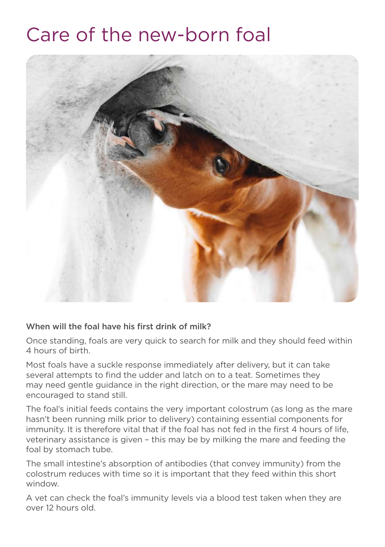### Care of the new-born foal



#### When will the foal have his first drink of milk?

Once standing, foals are very quick to search for milk and they should feed within 4 hours of birth.

Most foals have a suckle response immediately after delivery, but it can take several attempts to find the udder and latch on to a teat. Sometimes they may need gentle guidance in the right direction, or the mare may need to be encouraged to stand still.

The foal's initial feeds contains the very important colostrum (as long as the mare hasn't been running milk prior to delivery) containing essential components for immunity. It is therefore vital that if the foal has not fed in the first 4 hours of life, veterinary assistance is given – this may be by milking the mare and feeding the foal by stomach tube.

The small intestine's absorption of antibodies (that convey immunity) from the colostrum reduces with time so it is important that they feed within this short window.

A vet can check the foal's immunity levels via a blood test taken when they are over 12 hours old.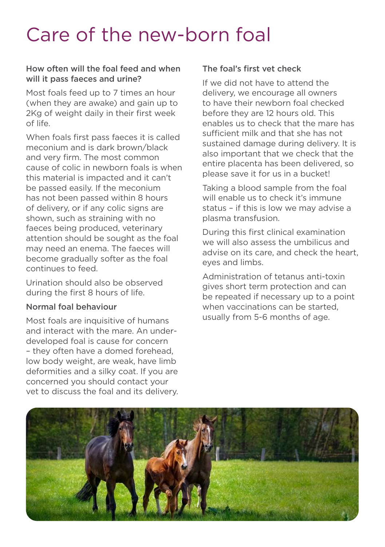### Care of the new-born foal

#### How often will the foal feed and when will it pass faeces and urine?

Most foals feed up to 7 times an hour (when they are awake) and gain up to 2Kg of weight daily in their first week of life.

When foals first pass faeces it is called meconium and is dark brown/black and very firm. The most common cause of colic in newborn foals is when this material is impacted and it can't be passed easily. If the meconium has not been passed within 8 hours of delivery, or if any colic signs are shown, such as straining with no faeces being produced, veterinary attention should be sought as the foal may need an enema. The faeces will become gradually softer as the foal continues to feed.

Urination should also be observed during the first 8 hours of life.

#### Normal foal behaviour

Most foals are inquisitive of humans and interact with the mare. An underdeveloped foal is cause for concern – they often have a domed forehead, low body weight, are weak, have limb deformities and a silky coat. If you are concerned you should contact your vet to discuss the foal and its delivery.

#### The foal's first vet check

If we did not have to attend the delivery, we encourage all owners to have their newborn foal checked before they are 12 hours old. This enables us to check that the mare has sufficient milk and that she has not sustained damage during delivery. It is also important that we check that the entire placenta has been delivered, so please save it for us in a bucket!

Taking a blood sample from the foal will enable us to check it's immune status – if this is low we may advise a plasma transfusion.

During this first clinical examination we will also assess the umbilicus and advise on its care, and check the heart, eyes and limbs.

Administration of tetanus anti-toxin gives short term protection and can be repeated if necessary up to a point when vaccinations can be started, usually from 5-6 months of age.

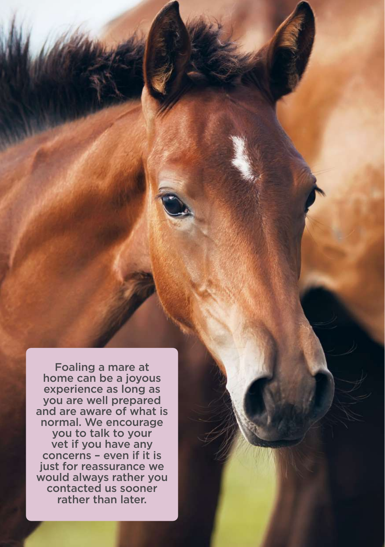Foaling a mare at home can be a joyous experience as long as you are well prepared and are aware of what is normal. We encourage you to talk to your vet if you have any concerns – even if it is just for reassurance we would always rather you contacted us sooner rather than later.